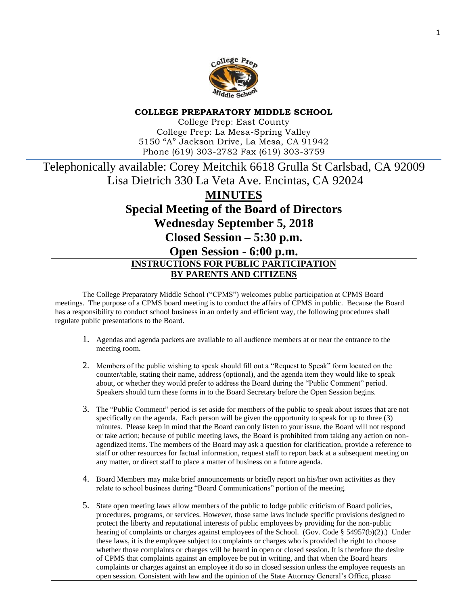

#### **COLLEGE PREPARATORY MIDDLE SCHOOL**

College Prep: East County College Prep: La Mesa-Spring Valley 5150 "A" Jackson Drive, La Mesa, CA 91942 Phone (619) 303-2782 Fax (619) 303-3759

# Telephonically available: Corey Meitchik 6618 Grulla St Carlsbad, CA 92009 Lisa Dietrich 330 La Veta Ave. Encintas, CA 92024 **MINUTES Special Meeting of the Board of Directors Wednesday September 5, 2018 Closed Session – 5:30 p.m. Open Session - 6:00 p.m. INSTRUCTIONS FOR PUBLIC PARTICIPATION**

#### **BY PARENTS AND CITIZENS**

The College Preparatory Middle School ("CPMS") welcomes public participation at CPMS Board meetings. The purpose of a CPMS board meeting is to conduct the affairs of CPMS in public. Because the Board has a responsibility to conduct school business in an orderly and efficient way, the following procedures shall regulate public presentations to the Board.

- 1. Agendas and agenda packets are available to all audience members at or near the entrance to the meeting room.
- 2. Members of the public wishing to speak should fill out a "Request to Speak" form located on the counter/table, stating their name, address (optional), and the agenda item they would like to speak about, or whether they would prefer to address the Board during the "Public Comment" period. Speakers should turn these forms in to the Board Secretary before the Open Session begins.
- 3. The "Public Comment" period is set aside for members of the public to speak about issues that are not specifically on the agenda. Each person will be given the opportunity to speak for up to three (3) minutes. Please keep in mind that the Board can only listen to your issue, the Board will not respond or take action; because of public meeting laws, the Board is prohibited from taking any action on nonagendized items. The members of the Board may ask a question for clarification, provide a reference to staff or other resources for factual information, request staff to report back at a subsequent meeting on any matter, or direct staff to place a matter of business on a future agenda.
- 4. Board Members may make brief announcements or briefly report on his/her own activities as they relate to school business during "Board Communications" portion of the meeting.
- 5. State open meeting laws allow members of the public to lodge public criticism of Board policies, procedures, programs, or services. However, those same laws include specific provisions designed to protect the liberty and reputational interests of public employees by providing for the non-public hearing of complaints or charges against employees of the School. (Gov. Code § 54957(b)(2).) Under these laws, it is the employee subject to complaints or charges who is provided the right to choose whether those complaints or charges will be heard in open or closed session. It is therefore the desire of CPMS that complaints against an employee be put in writing, and that when the Board hears complaints or charges against an employee it do so in closed session unless the employee requests an open session. Consistent with law and the opinion of the State Attorney General's Office, please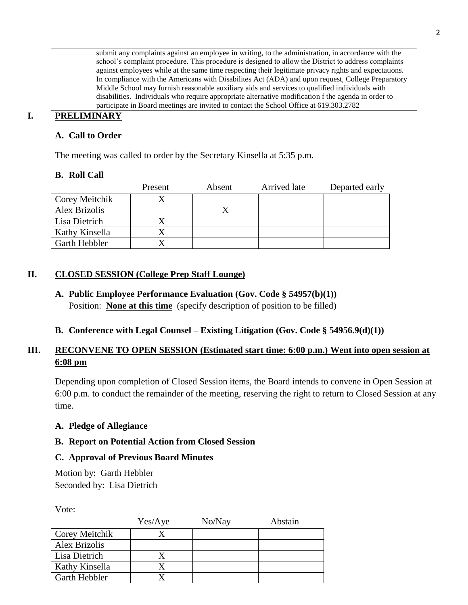submit any complaints against an employee in writing, to the administration, in accordance with the school's complaint procedure. This procedure is designed to allow the District to address complaints against employees while at the same time respecting their legitimate privacy rights and expectations. In compliance with the Americans with Disabilites Act (ADA) and upon request, College Preparatory Middle School may furnish reasonable auxiliary aids and services to qualified individuals with disabilities. Individuals who require appropriate alternative modification f the agenda in order to participate in Board meetings are invited to contact the School Office at 619.303.2782

# **I. PRELIMINARY**

### **A. Call to Order**

The meeting was called to order by the Secretary Kinsella at 5:35 p.m.

### **B. Roll Call**

|                | Present | Absent | Arrived late | Departed early |
|----------------|---------|--------|--------------|----------------|
| Corey Meitchik |         |        |              |                |
| Alex Brizolis  |         |        |              |                |
| Lisa Dietrich  |         |        |              |                |
| Kathy Kinsella |         |        |              |                |
| Garth Hebbler  |         |        |              |                |

### **II. CLOSED SESSION (College Prep Staff Lounge)**

**A. Public Employee Performance Evaluation (Gov. Code § 54957(b)(1))** Position: **None at this time** (specify description of position to be filled)

### **B. Conference with Legal Counsel – Existing Litigation (Gov. Code § 54956.9(d)(1))**

# **III. RECONVENE TO OPEN SESSION (Estimated start time: 6:00 p.m.) Went into open session at 6:08 pm**

Depending upon completion of Closed Session items, the Board intends to convene in Open Session at 6:00 p.m. to conduct the remainder of the meeting, reserving the right to return to Closed Session at any time.

### **A. Pledge of Allegiance**

### **B. Report on Potential Action from Closed Session**

### **C. Approval of Previous Board Minutes**

Motion by: Garth Hebbler Seconded by: Lisa Dietrich

Vote:

|                       | Yes/Aye | No/Nay | Abstain |
|-----------------------|---------|--------|---------|
| <b>Corey Meitchik</b> |         |        |         |
| Alex Brizolis         |         |        |         |
| Lisa Dietrich         |         |        |         |
| Kathy Kinsella        |         |        |         |
| Garth Hebbler         |         |        |         |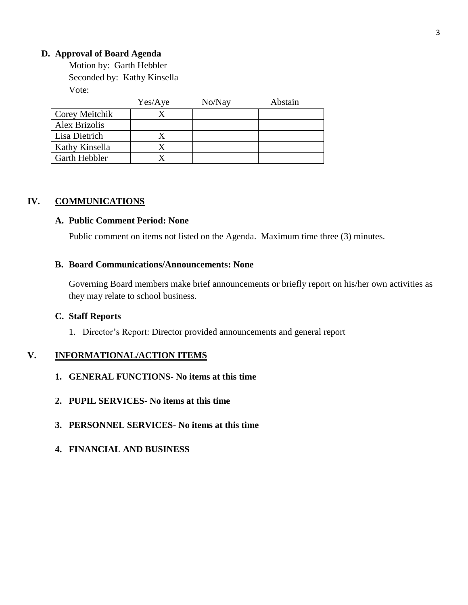#### **D. Approval of Board Agenda**

Motion by: Garth Hebbler Seconded by: Kathy Kinsella Vote:

|                      | Yes/Aye | No/Nay | Abstain |
|----------------------|---------|--------|---------|
| Corey Meitchik       |         |        |         |
| Alex Brizolis        |         |        |         |
| Lisa Dietrich        |         |        |         |
| Kathy Kinsella       |         |        |         |
| <b>Garth Hebbler</b> |         |        |         |

### **IV. COMMUNICATIONS**

#### **A. Public Comment Period: None**

Public comment on items not listed on the Agenda. Maximum time three (3) minutes.

#### **B. Board Communications/Announcements: None**

Governing Board members make brief announcements or briefly report on his/her own activities as they may relate to school business.

#### **C. Staff Reports**

1. Director's Report: Director provided announcements and general report

#### **V. INFORMATIONAL/ACTION ITEMS**

- **1. GENERAL FUNCTIONS- No items at this time**
- **2. PUPIL SERVICES- No items at this time**
- **3. PERSONNEL SERVICES- No items at this time**
- **4. FINANCIAL AND BUSINESS**